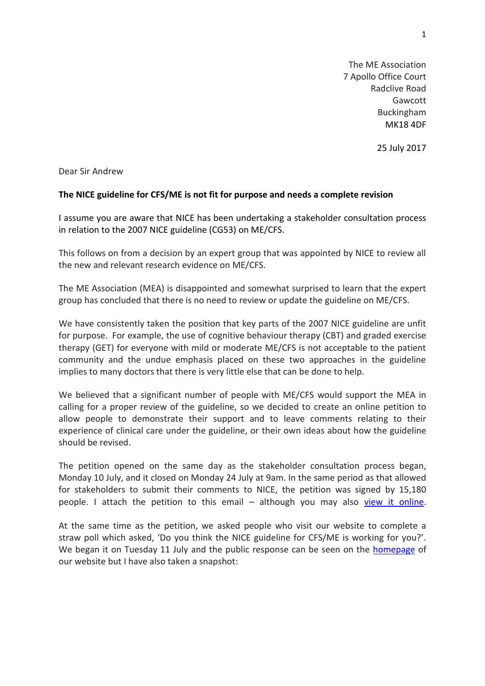The ME Association 7 Apollo Office Court Radclive Road Gawcott Buckingham MK18 4DF

25 July 2017

Dear Sir Andrew

## **The NICE guideline for CFS/ME is not fit for purpose and needs a complete revision**

I assume you are aware that NICE has been undertaking a stakeholder consultation process in relation to the 2007 NICE guideline (CG53) on ME/CFS.

This follows on from a decision by an expert group that was appointed by NICE to review all the new and relevant research evidence on ME/CFS.

The ME Association (MEA) is disappointed and somewhat surprised to learn that the expert group has concluded that there is no need to review or update the guideline on ME/CFS.

We have consistently taken the position that key parts of the 2007 NICE guideline are unfit for purpose. For example, the use of cognitive behaviour therapy (CBT) and graded exercise therapy (GET) for everyone with mild or moderate ME/CFS is not acceptable to the patient community and the undue emphasis placed on these two approaches in the guideline implies to many doctors that there is very little else that can be done to help.

We believed that a significant number of people with ME/CFS would support the MEA in calling for a proper review of the guideline, so we decided to create an online petition to allow people to demonstrate their support and to leave comments relating to their experience of clinical care under the guideline, or their own ideas about how the guideline should be revised.

The petition opened on the same day as the stakeholder consultation process began, Monday 10 July, and it closed on Monday 24 July at 9am. In the same period as that allowed for stakeholders to submit their comments to NICE, the petition was signed by 15,180 people. I attach the petition to this email – although you may also [view it online.](https://www.change.org/p/petition-the-nice-guideline-for-cfs-me-is-unfit-for-purpose-and-needs-a-complete-revision)

At the same time as the petition, we asked people who visit our website to complete a straw poll which asked, 'Do you think the NICE guideline for CFS/ME is working for you?'. We began it on Tuesday 11 July and the public response can be seen on the **homepage** of our website but I have also taken a snapshot: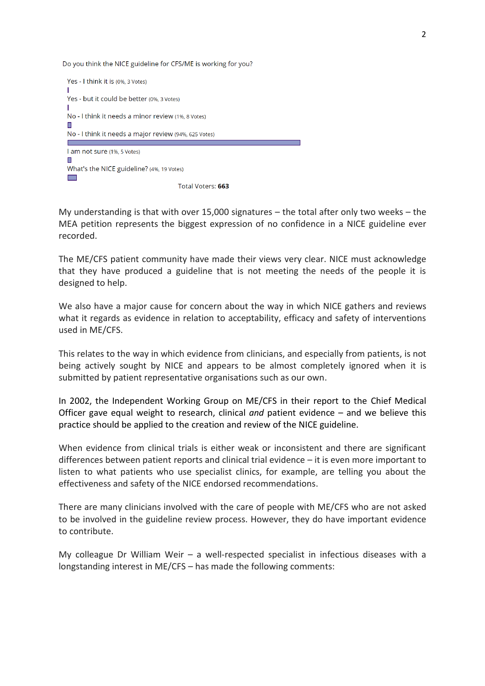Do you think the NICE guideline for CFS/ME is working for you?



My understanding is that with over 15,000 signatures – the total after only two weeks – the MEA petition represents the biggest expression of no confidence in a NICE guideline ever recorded.

The ME/CFS patient community have made their views very clear. NICE must acknowledge that they have produced a guideline that is not meeting the needs of the people it is designed to help.

We also have a major cause for concern about the way in which NICE gathers and reviews what it regards as evidence in relation to acceptability, efficacy and safety of interventions used in ME/CFS.

This relates to the way in which evidence from clinicians, and especially from patients, is not being actively sought by NICE and appears to be almost completely ignored when it is submitted by patient representative organisations such as our own.

In 2002, the Independent Working Group on ME/CFS in their report to the Chief Medical Officer gave equal weight to research, clinical *and* patient evidence – and we believe this practice should be applied to the creation and review of the NICE guideline.

When evidence from clinical trials is either weak or inconsistent and there are significant differences between patient reports and clinical trial evidence – it is even more important to listen to what patients who use specialist clinics, for example, are telling you about the effectiveness and safety of the NICE endorsed recommendations.

There are many clinicians involved with the care of people with ME/CFS who are not asked to be involved in the guideline review process. However, they do have important evidence to contribute.

My colleague Dr William Weir – a well-respected specialist in infectious diseases with a longstanding interest in ME/CFS – has made the following comments: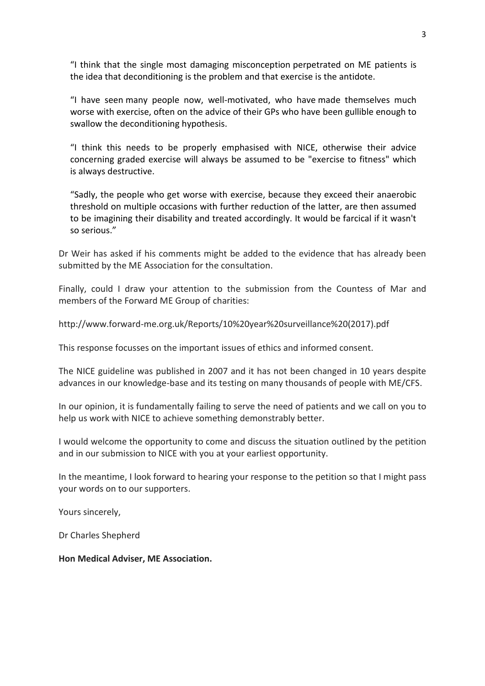"I think that the single most damaging misconception perpetrated on ME patients is the idea that deconditioning is the problem and that exercise is the antidote.

"I have seen many people now, well-motivated, who have made themselves much worse with exercise, often on the advice of their GPs who have been gullible enough to swallow the deconditioning hypothesis.

"I think this needs to be properly emphasised with NICE, otherwise their advice concerning graded exercise will always be assumed to be "exercise to fitness" which is always destructive.

"Sadly, the people who get worse with exercise, because they exceed their anaerobic threshold on multiple occasions with further reduction of the latter, are then assumed to be imagining their disability and treated accordingly. It would be farcical if it wasn't so serious."

Dr Weir has asked if his comments might be added to the evidence that has already been submitted by the ME Association for the consultation.

Finally, could I draw your attention to the submission from the Countess of Mar and members of the Forward ME Group of charities:

http://www.forward-me.org.uk/Reports/10%20year%20surveillance%20(2017).pdf

This response focusses on the important issues of ethics and informed consent.

The NICE guideline was published in 2007 and it has not been changed in 10 years despite advances in our knowledge-base and its testing on many thousands of people with ME/CFS.

In our opinion, it is fundamentally failing to serve the need of patients and we call on you to help us work with NICE to achieve something demonstrably better.

I would welcome the opportunity to come and discuss the situation outlined by the petition and in our submission to NICE with you at your earliest opportunity.

In the meantime, I look forward to hearing your response to the petition so that I might pass your words on to our supporters.

Yours sincerely,

Dr Charles Shepherd

**Hon Medical Adviser, ME Association.**